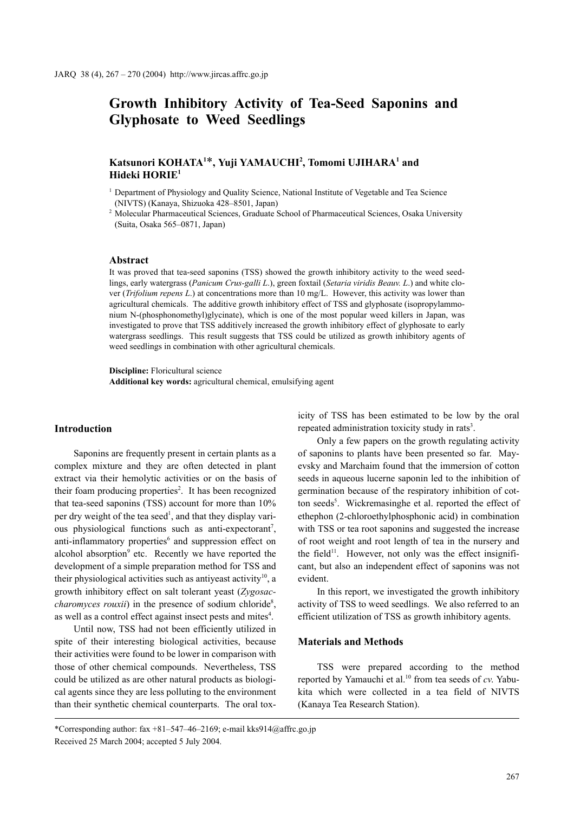# **Growth Inhibitory Activity of Tea-Seed Saponins and Glyphosate to Weed Seedlings**

# **Katsunori KOHATA1** \***, Yuji YAMAUCHI2 , Tomomi UJIHARA1 and Hideki HORIE1**

<sup>1</sup> Department of Physiology and Quality Science, National Institute of Vegetable and Tea Science (NIVTS) (Kanaya, Shizuoka 428–8501, Japan)

<sup>2</sup> Molecular Pharmaceutical Sciences, Graduate School of Pharmaceutical Sciences, Osaka University (Suita, Osaka 565–0871, Japan)

#### **Abstract**

It was proved that tea-seed saponins (TSS) showed the growth inhibitory activity to the weed seedlings, early watergrass (*Panicum Crus-galli L*.), green foxtail (*Setaria viridis Beauv. L*.) and white clover (*Trifolium repens L*.) at concentrations more than 10 mg/L. However, this activity was lower than agricultural chemicals. The additive growth inhibitory effect of TSS and glyphosate (isopropylammonium N-(phosphonomethyl)glycinate), which is one of the most popular weed killers in Japan, was investigated to prove that TSS additively increased the growth inhibitory effect of glyphosate to early watergrass seedlings. This result suggests that TSS could be utilized as growth inhibitory agents of weed seedlings in combination with other agricultural chemicals.

**Discipline:** Floricultural science **Additional key words:** agricultural chemical, emulsifying agent

#### **Introduction**

Saponins are frequently present in certain plants as a complex mixture and they are often detected in plant extract via their hemolytic activities or on the basis of their foam producing properties<sup>2</sup>. It has been recognized that tea-seed saponins (TSS) account for more than 10% per dry weight of the tea seed<sup>1</sup>, and that they display various physiological functions such as anti-expectorant<sup>7</sup>, anti-inflammatory properties<sup>6</sup> and suppression effect on alcohol absorption<sup>9</sup> etc. Recently we have reported the development of a simple preparation method for TSS and their physiological activities such as antiyeast activity<sup>10</sup>, a growth inhibitory effect on salt tolerant yeast (*Zygosac*charomyces rouxii) in the presence of sodium chloride<sup>8</sup>, as well as a control effect against insect pests and mites<sup>4</sup>.

Until now, TSS had not been efficiently utilized in spite of their interesting biological activities, because their activities were found to be lower in comparison with those of other chemical compounds. Nevertheless, TSS could be utilized as are other natural products as biological agents since they are less polluting to the environment than their synthetic chemical counterparts. The oral toxicity of TSS has been estimated to be low by the oral repeated administration toxicity study in rats<sup>3</sup>.

Only a few papers on the growth regulating activity of saponins to plants have been presented so far. Mayevsky and Marchaim found that the immersion of cotton seeds in aqueous lucerne saponin led to the inhibition of germination because of the respiratory inhibition of cotton seeds<sup>5</sup>. Wickremasinghe et al. reported the effect of ethephon (2-chloroethylphosphonic acid) in combination with TSS or tea root saponins and suggested the increase of root weight and root length of tea in the nursery and the field<sup>11</sup>. However, not only was the effect insignificant, but also an independent effect of saponins was not evident.

In this report, we investigated the growth inhibitory activity of TSS to weed seedlings. We also referred to an efficient utilization of TSS as growth inhibitory agents.

#### **Materials and Methods**

TSS were prepared according to the method reported by Yamauchi et al.<sup>10</sup> from tea seeds of *cv*. Yabukita which were collected in a tea field of NIVTS (Kanaya Tea Research Station).

<sup>\*</sup>Corresponding author: fax  $+81-547-46-2169$ ; e-mail kks $914@a$ ffrc.go.jp Received 25 March 2004; accepted 5 July 2004.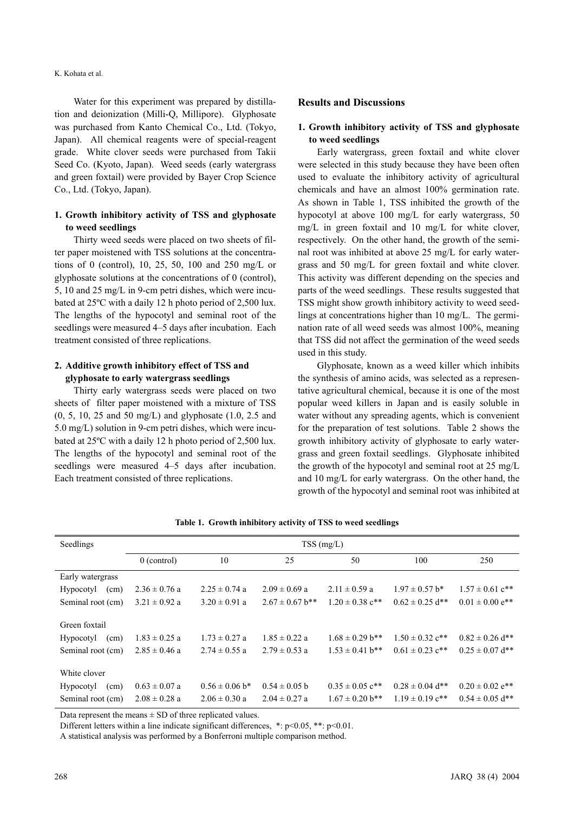#### K. Kohata et al.

Water for this experiment was prepared by distillation and deionization (Milli-Q, Millipore). Glyphosate was purchased from Kanto Chemical Co., Ltd. (Tokyo, Japan). All chemical reagents were of special-reagent grade. White clover seeds were purchased from Takii Seed Co. (Kyoto, Japan). Weed seeds (early watergrass and green foxtail) were provided by Bayer Crop Science Co., Ltd. (Tokyo, Japan).

# **1. Growth inhibitory activity of TSS and glyphosate to weed seedlings**

Thirty weed seeds were placed on two sheets of filter paper moistened with TSS solutions at the concentrations of 0 (control), 10, 25, 50, 100 and 250 mg/L or glyphosate solutions at the concentrations of 0 (control), 5, 10 and 25 mg/L in 9-cm petri dishes, which were incubated at 25ºC with a daily 12 h photo period of 2,500 lux. The lengths of the hypocotyl and seminal root of the seedlings were measured 4–5 days after incubation. Each treatment consisted of three replications.

# **2. Additive growth inhibitory effect of TSS and glyphosate to early watergrass seedlings**

Thirty early watergrass seeds were placed on two sheets of filter paper moistened with a mixture of TSS (0, 5, 10, 25 and 50 mg/L) and glyphosate (1.0, 2.5 and 5.0 mg/L) solution in 9-cm petri dishes, which were incubated at 25ºC with a daily 12 h photo period of 2,500 lux. The lengths of the hypocotyl and seminal root of the seedlings were measured 4–5 days after incubation. Each treatment consisted of three replications.

#### **Results and Discussions**

# **1. Growth inhibitory activity of TSS and glyphosate to weed seedlings**

Early watergrass, green foxtail and white clover were selected in this study because they have been often used to evaluate the inhibitory activity of agricultural chemicals and have an almost 100% germination rate. As shown in Table 1, TSS inhibited the growth of the hypocotyl at above 100 mg/L for early watergrass, 50 mg/L in green foxtail and 10 mg/L for white clover, respectively. On the other hand, the growth of the seminal root was inhibited at above 25 mg/L for early watergrass and 50 mg/L for green foxtail and white clover. This activity was different depending on the species and parts of the weed seedlings. These results suggested that TSS might show growth inhibitory activity to weed seedlings at concentrations higher than 10 mg/L. The germination rate of all weed seeds was almost 100%, meaning that TSS did not affect the germination of the weed seeds used in this study.

Glyphosate, known as a weed killer which inhibits the synthesis of amino acids, was selected as a representative agricultural chemical, because it is one of the most popular weed killers in Japan and is easily soluble in water without any spreading agents, which is convenient for the preparation of test solutions. Table 2 shows the growth inhibitory activity of glyphosate to early watergrass and green foxtail seedlings. Glyphosate inhibited the growth of the hypocotyl and seminal root at 25 mg/L and 10 mg/L for early watergrass. On the other hand, the growth of the hypocotyl and seminal root was inhibited at

| Seedlings                | $TSS$ (mg/L)      |                    |                     |                                 |                                 |                                 |
|--------------------------|-------------------|--------------------|---------------------|---------------------------------|---------------------------------|---------------------------------|
|                          | $0$ (control)     | 10                 | 25                  | 50                              | 100                             | 250                             |
| Early watergrass         |                   |                    |                     |                                 |                                 |                                 |
| <b>Hypocotyl</b><br>(cm) | $2.36 \pm 0.76$ a | $2.25 \pm 0.74$ a  | $2.09 \pm 0.69$ a   | $2.11 \pm 0.59$ a               | $1.97 \pm 0.57$ b*              | $1.57 \pm 0.61$ c <sup>**</sup> |
| Seminal root (cm)        | $3.21 \pm 0.92$ a | $3.20 \pm 0.91$ a  | $2.67 \pm 0.67$ b** | $1.20 \pm 0.38$ c <sup>**</sup> | $0.62 \pm 0.25$ d**             | $0.01 \pm 0.00$ e <sup>**</sup> |
| Green foxtail            |                   |                    |                     |                                 |                                 |                                 |
| <b>Hypocotyl</b><br>(cm) | $1.83 \pm 0.25$ a | $1.73 \pm 0.27$ a  | $1.85 \pm 0.22$ a   | $1.68 \pm 0.29$ b**             | $1.50 \pm 0.32$ c <sup>**</sup> | $0.82 \pm 0.26$ d**             |
| Seminal root (cm)        | $2.85 \pm 0.46$ a | $2.74 \pm 0.55$ a  | $2.79 \pm 0.53$ a   | $1.53 \pm 0.41$ b**             | $0.61 \pm 0.23$ c**             | $0.25 \pm 0.07$ d**             |
| White clover             |                   |                    |                     |                                 |                                 |                                 |
| Hypocotyl<br>(cm)        | $0.63 \pm 0.07$ a | $0.56 \pm 0.06$ b* | $0.54 \pm 0.05$ b   | $0.35 \pm 0.05$ c <sup>**</sup> | $0.28 \pm 0.04$ d**             | $0.20 \pm 0.02$ e <sup>**</sup> |
| Seminal root (cm)        | $2.08 \pm 0.28$ a | $2.06 \pm 0.30$ a  | $2.04 \pm 0.27$ a   | $1.67 \pm 0.20$ b**             | $1.19 \pm 0.19$ c**             | $0.54 \pm 0.05$ d**             |

**Table 1. Growth inhibitory activity of TSS to weed seedlings** 

Data represent the means  $\pm$  SD of three replicated values.

Different letters within a line indicate significant differences,  $*:\text{p}<0.05$ ,  $**:\text{p}<0.01$ .

A statistical analysis was performed by a Bonferroni multiple comparison method.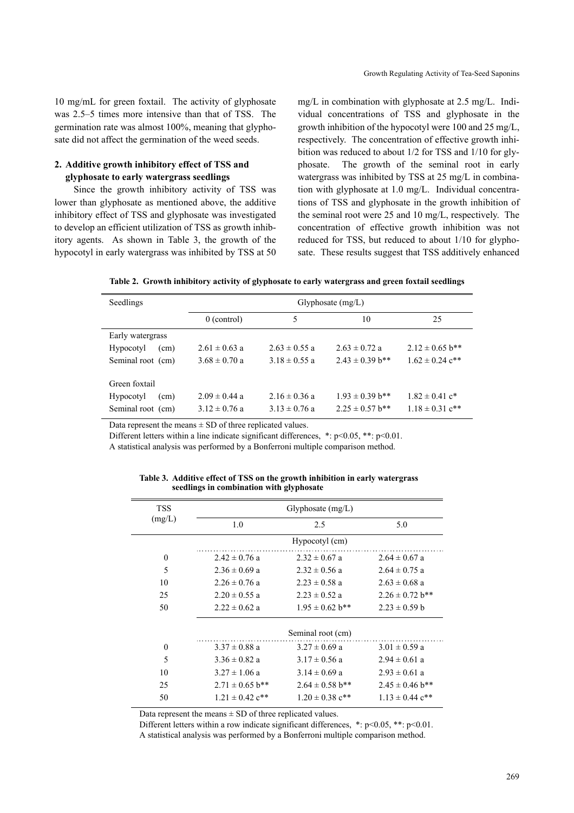10 mg/mL for green foxtail. The activity of glyphosate was 2.5–5 times more intensive than that of TSS. The germination rate was almost 100%, meaning that glyphosate did not affect the germination of the weed seeds.

## **2. Additive growth inhibitory effect of TSS and glyphosate to early watergrass seedlings**

Since the growth inhibitory activity of TSS was lower than glyphosate as mentioned above, the additive inhibitory effect of TSS and glyphosate was investigated to develop an efficient utilization of TSS as growth inhibitory agents. As shown in Table 3, the growth of the hypocotyl in early watergrass was inhibited by TSS at 50 mg/L in combination with glyphosate at 2.5 mg/L. Individual concentrations of TSS and glyphosate in the growth inhibition of the hypocotyl were 100 and 25 mg/L, respectively. The concentration of effective growth inhibition was reduced to about 1/2 for TSS and 1/10 for glyphosate. The growth of the seminal root in early watergrass was inhibited by TSS at 25 mg/L in combination with glyphosate at 1.0 mg/L. Individual concentrations of TSS and glyphosate in the growth inhibition of the seminal root were 25 and 10 mg/L, respectively. The concentration of effective growth inhibition was not reduced for TSS, but reduced to about 1/10 for glyphosate. These results suggest that TSS additively enhanced

|  |  |  |  | Table 2. Growth inhibitory activity of glyphosate to early watergrass and green foxtail seedlings |
|--|--|--|--|---------------------------------------------------------------------------------------------------|
|--|--|--|--|---------------------------------------------------------------------------------------------------|

| Seedlings         | Glyphosate $(mg/L)$ |                   |                     |                                |
|-------------------|---------------------|-------------------|---------------------|--------------------------------|
|                   | $0$ (control)       | 5                 | 10                  | 25                             |
| Early watergrass  |                     |                   |                     |                                |
| Hypocotyl<br>(cm) | $2.61 \pm 0.63$ a   | $2.63 \pm 0.55$ a | $2.63 \pm 0.72$ a   | $2.12 \pm 0.65$ b**            |
| Seminal root (cm) | $3.68 \pm 0.70$ a   | $3.18 \pm 0.55$ a | $2.43 \pm 0.39$ b** | $1.62 \pm 0.24$ c**            |
| Green foxtail     |                     |                   |                     |                                |
| Hypocotyl<br>(cm) | $2.09 \pm 0.44$ a   | $2.16 \pm 0.36$ a | $1.93 \pm 0.39$ b** | $1.82 \pm 0.41$ c <sup>*</sup> |
| Seminal root (cm) | $3.12 \pm 0.76$ a   | $3.13 \pm 0.76$ a | $2.25 \pm 0.57$ b** | $1.18 \pm 0.31$ c**            |

Data represent the means  $\pm$  SD of three replicated values.

Different letters within a line indicate significant differences, \*: p<0.05, \*\*: p<0.01.

A statistical analysis was performed by a Bonferroni multiple comparison method.

| <b>TSS</b>   | Glyphosate $(mg/L)$             |                     |                                 |  |  |
|--------------|---------------------------------|---------------------|---------------------------------|--|--|
| (mg/L)       | 1.0                             | 2.5                 | 5.0                             |  |  |
|              |                                 | Hypocotyl (cm)      |                                 |  |  |
| $\mathbf{0}$ | $2.42 \pm 0.76$ a               | $2.32 \pm 0.67$ a   | $2.64 \pm 0.67$ a               |  |  |
| 5            | $2.36 \pm 0.69$ a               | $2.32 \pm 0.56$ a   | $2.64 \pm 0.75$ a               |  |  |
| 10           | $2.26 \pm 0.76$ a               | $2.23 \pm 0.58$ a   | $2.63 \pm 0.68$ a               |  |  |
| 25           | $2.20 \pm 0.55$ a               | $2.23 \pm 0.52$ a   | $2.26 \pm 0.72$ b**             |  |  |
| 50           | $2.22 \pm 0.62$ a               | $1.95 \pm 0.62$ b** | $2.23 \pm 0.59$ b               |  |  |
|              |                                 | Seminal root (cm)   |                                 |  |  |
| $\mathbf{0}$ | $3.37 \pm 0.88$ a               | $3.27 \pm 0.69$ a   | $3.01 \pm 0.59$ a               |  |  |
| 5            | $3.36 \pm 0.82$ a               | $3.17 \pm 0.56$ a   | $2.94 \pm 0.61$ a               |  |  |
| 10           | $3.27 \pm 1.06$ a               | $3.14 \pm 0.69$ a   | $2.93 \pm 0.61$ a               |  |  |
| 25           | $2.71 \pm 0.65$ b**             | $2.64 \pm 0.58$ b** | $2.45 \pm 0.46$ b**             |  |  |
| 50           | $1.21 \pm 0.42$ c <sup>**</sup> | $1.20 \pm 0.38$ c** | $1.13 \pm 0.44$ c <sup>**</sup> |  |  |

**Table 3. Additive effect of TSS on the growth inhibition in early watergrass seedlings in combination with glyphosate**

Data represent the means  $\pm$  SD of three replicated values.

Different letters within a row indicate significant differences,  $*$ :  $p<0.05$ ,  $**$ :  $p<0.01$ .

A statistical analysis was performed by a Bonferroni multiple comparison method.